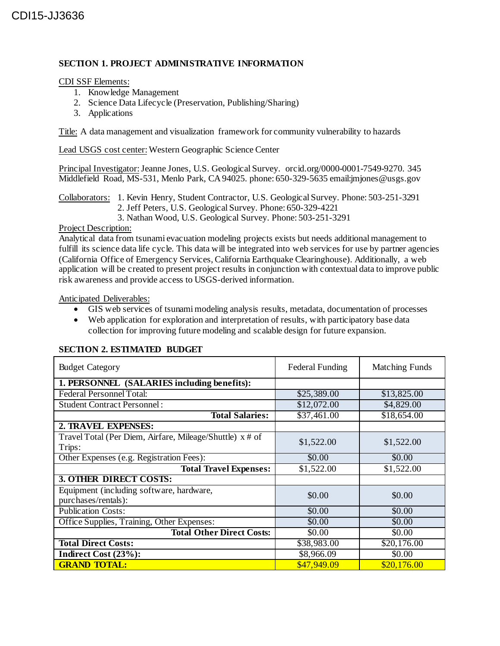## **SECTION 1. PROJECT ADMINISTRATIVE INFORMATION**

## CDI SSF Elements:

- 1. Knowledge Management
- 2. Science Data Lifecycle (Preservation, Publishing/Sharing)
- 3. Applications

Title: A data management and visualization framework for community vulnerability to hazards

Lead USGS cost center:Western Geographic Science Center

Principal Investigator:Jeanne Jones, U.S. Geological Survey. orcid.org/0000-0001-7549-9270. 345 Middlefield Road, MS-531, Menlo Park, CA 94025. phone: 650-329-5635 email: imjones@usgs.gov

Collaborators: 1. Kevin Henry, Student Contractor, U.S. Geological Survey. Phone: 503-251-3291 2. Jeff Peters, U.S. Geological Survey. Phone: 650-329-4221 3. Nathan Wood, U.S. Geological Survey. Phone: 503-251-3291

#### Project Description:

Analytical data from tsunami evacuation modeling projects exists but needs additional management to fulfill its science data life cycle. This data will be integrated into web services for use by partner agencies (California Office of Emergency Services, California Earthquake Clearinghouse). Additionally, a web application will be created to present project results in conjunction with contextual data to improve public risk awareness and provide access to USGS-derived information.

Anticipated Deliverables:

- GIS web services of tsunami modeling analysis results, metadata, documentation of processes
- Web application for exploration and interpretation of results, with participatory base data collection for improving future modeling and scalable design for future expansion.

| <b>Budget Category</b>                                   | <b>Federal Funding</b>     | <b>Matching Funds</b> |  |
|----------------------------------------------------------|----------------------------|-----------------------|--|
| 1. PERSONNEL (SALARIES including benefits):              |                            |                       |  |
| <b>Federal Personnel Total:</b>                          | \$25,389.00<br>\$13,825.00 |                       |  |
| <b>Student Contract Personnel:</b>                       | \$12,072.00<br>\$4,829.00  |                       |  |
| <b>Total Salaries:</b>                                   | \$37,461.00                | \$18,654.00           |  |
| 2. TRAVEL EXPENSES:                                      |                            |                       |  |
| Travel Total (Per Diem, Airfare, Mileage/Shuttle) x # of | \$1,522.00                 | \$1,522.00            |  |
| Trips:                                                   |                            |                       |  |
| Other Expenses (e.g. Registration Fees):                 | \$0.00                     | \$0.00                |  |
| <b>Total Travel Expenses:</b>                            | \$1,522.00                 | \$1,522.00            |  |
| <b>3. OTHER DIRECT COSTS:</b>                            |                            |                       |  |
| Equipment (including software, hardware,                 | \$0.00                     | \$0.00                |  |
| purchases/rentals):                                      |                            |                       |  |
| <b>Publication Costs:</b>                                | \$0.00                     | \$0.00                |  |
| Office Supplies, Training, Other Expenses:               | \$0.00                     | \$0.00                |  |
| <b>Total Other Direct Costs:</b>                         | \$0.00                     | \$0.00                |  |
| <b>Total Direct Costs:</b>                               | \$38,983.00                | \$20,176.00           |  |
| Indirect Cost (23%):                                     | \$8,966.09                 | \$0.00                |  |
| <b>GRAND TOTAL:</b>                                      | \$47,949.09                | \$20,176.00           |  |

# **SECTION 2. ESTIMATED BUDGET**